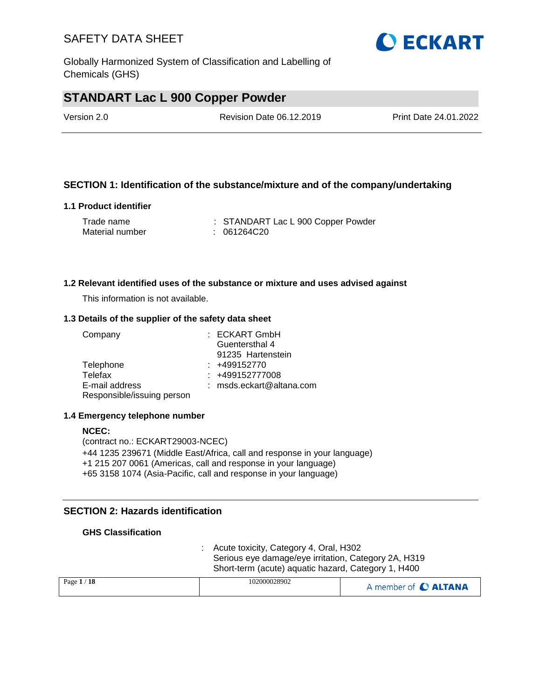Globally Harmonized System of Classification and Labelling of Chemicals (GHS)

### **STANDART Lac L 900 Copper Powder**

| Version 2.0 | Revision Date 06.12.2019 | Print Date 24.01.2022 |
|-------------|--------------------------|-----------------------|
|             |                          |                       |

#### **SECTION 1: Identification of the substance/mixture and of the company/undertaking**

#### **1.1 Product identifier**

| Trade name      | : STANDART Lac L 900 Copper Powder |
|-----------------|------------------------------------|
| Material number | : 061264C20                        |

#### **1.2 Relevant identified uses of the substance or mixture and uses advised against**

This information is not available.

#### **1.3 Details of the supplier of the safety data sheet**

| Company                    | : ECKART GmbH            |
|----------------------------|--------------------------|
|                            | Guentersthal 4           |
|                            | 91235 Hartenstein        |
| Telephone                  | $: +499152770$           |
| Telefax                    | : +499152777008          |
| E-mail address             | : msds.eckart@altana.com |
| Responsible/issuing person |                          |

#### **1.4 Emergency telephone number**

#### **NCEC:** (contract no.: ECKART29003-NCEC) +44 1235 239671 (Middle East/Africa, call and response in your language) +1 215 207 0061 (Americas, call and response in your language) +65 3158 1074 (Asia-Pacific, call and response in your language)

#### **SECTION 2: Hazards identification**

#### **GHS Classification**

: Acute toxicity, Category 4, Oral, H302 Serious eye damage/eye irritation, Category 2A, H319 Short-term (acute) aquatic hazard, Category 1, H400

| Page $1/18$ | 102000028902 | A member of C ALTANA |
|-------------|--------------|----------------------|
|             |              |                      |

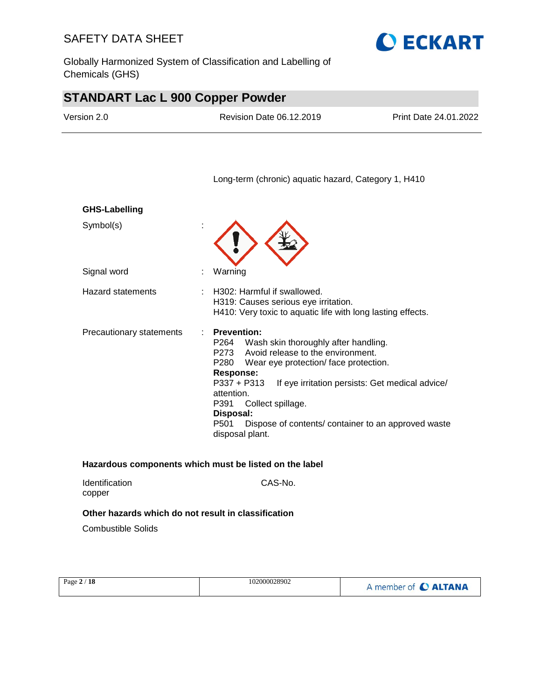Globally Harmonized System of Classification and Labelling of Chemicals (GHS)



# **STANDART Lac L 900 Copper Powder**

| Version 2.0              | Revision Date 06.12.2019                                                                                                                                                                                                                                                                   | Print Date 24.01.2022                                                                                  |
|--------------------------|--------------------------------------------------------------------------------------------------------------------------------------------------------------------------------------------------------------------------------------------------------------------------------------------|--------------------------------------------------------------------------------------------------------|
|                          | Long-term (chronic) aquatic hazard, Category 1, H410                                                                                                                                                                                                                                       |                                                                                                        |
| <b>GHS-Labelling</b>     |                                                                                                                                                                                                                                                                                            |                                                                                                        |
| Symbol(s)                |                                                                                                                                                                                                                                                                                            |                                                                                                        |
| Signal word              | Warning                                                                                                                                                                                                                                                                                    |                                                                                                        |
| <b>Hazard statements</b> | H302: Harmful if swallowed.<br>H319: Causes serious eye irritation.<br>H410: Very toxic to aquatic life with long lasting effects.                                                                                                                                                         |                                                                                                        |
| Precautionary statements | <b>Prevention:</b><br>÷<br>Wash skin thoroughly after handling.<br>P264<br>Avoid release to the environment.<br>P273<br>P280<br>Wear eye protection/face protection.<br><b>Response:</b><br>P337 + P313<br>attention.<br>P391<br>Collect spillage.<br>Disposal:<br>P501<br>disposal plant. | If eye irritation persists: Get medical advice/<br>Dispose of contents/ container to an approved waste |

Identification CAS-No. copper

#### **Other hazards which do not result in classification**

Combustible Solids

| Page $2/18$ | 102000028902 | A member of C ALTANA |
|-------------|--------------|----------------------|
|             |              |                      |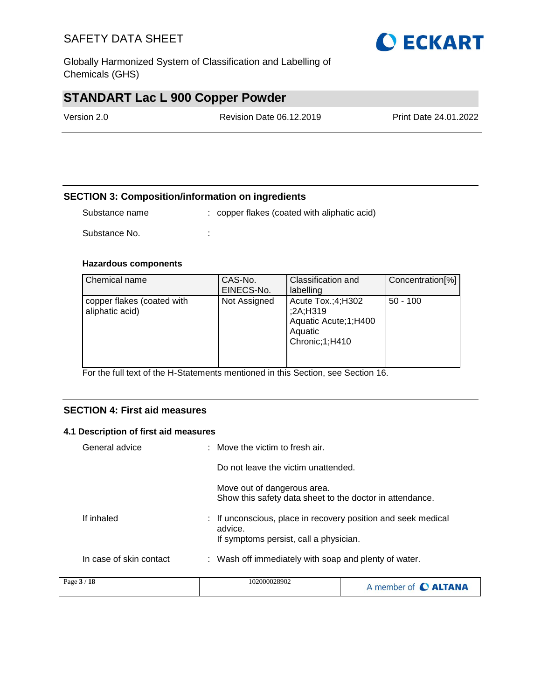Globally Harmonized System of Classification and Labelling of Chemicals (GHS)

# **STANDART Lac L 900 Copper Powder**

| Version 2.0 | Revision Date 06.12.2019 | <b>Print Date 24.01.2022</b> |
|-------------|--------------------------|------------------------------|
|             |                          |                              |

#### **SECTION 3: Composition/information on ingredients**

Substance name : copper flakes (coated with aliphatic acid)

Substance No. **:** :

#### **Hazardous components**

| Chemical name                                 | CAS-No.<br>EINECS-No. | Classification and<br>labelling                                                      | Concentration[%] |
|-----------------------------------------------|-----------------------|--------------------------------------------------------------------------------------|------------------|
| copper flakes (coated with<br>aliphatic acid) | Not Assigned          | Acute Tox.;4;H302<br>;2A;H319<br>Aquatic Acute; 1; H400<br>Aquatic<br>Chronic;1;H410 | $50 - 100$       |

For the full text of the H-Statements mentioned in this Section, see Section 16.

#### **SECTION 4: First aid measures**

#### **4.1 Description of first aid measures**

| Page 3 / 18             | 102000028902                                                                                                       |  |
|-------------------------|--------------------------------------------------------------------------------------------------------------------|--|
| In case of skin contact | : Wash off immediately with soap and plenty of water.                                                              |  |
| If inhaled              | : If unconscious, place in recovery position and seek medical<br>advice.<br>If symptoms persist, call a physician. |  |
|                         | Move out of dangerous area.<br>Show this safety data sheet to the doctor in attendance.                            |  |
|                         | Do not leave the victim unattended.                                                                                |  |
| General advice          | : Move the victim to fresh air.                                                                                    |  |

| Page $3/18$ | 102000028902 | A member of C ALTANA |
|-------------|--------------|----------------------|
|-------------|--------------|----------------------|

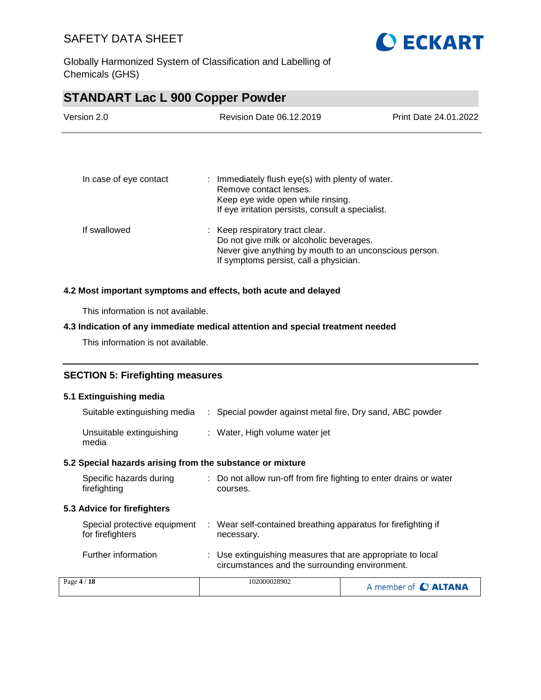

Globally Harmonized System of Classification and Labelling of Chemicals (GHS)

# **STANDART Lac L 900 Copper Powder** Version 2.0 Revision Date 06.12.2019 Print Date 24.01.2022 In case of eye contact : Immediately flush eye(s) with plenty of water. Remove contact lenses. Keep eye wide open while rinsing. If eye irritation persists, consult a specialist. If swallowed : Keep respiratory tract clear. Do not give milk or alcoholic beverages. Never give anything by mouth to an unconscious person. If symptoms persist, call a physician. **4.2 Most important symptoms and effects, both acute and delayed**

This information is not available.

#### **4.3 Indication of any immediate medical attention and special treatment needed**

This information is not available.

#### **SECTION 5: Firefighting measures**

#### **5.1 Extinguishing media**

| Suitable extinguishing media                              | : Special powder against metal fire, Dry sand, ABC powder                      |
|-----------------------------------------------------------|--------------------------------------------------------------------------------|
| Unsuitable extinguishing<br>media                         | : Water, High volume water jet                                                 |
| 5.2 Special hazards arising from the substance or mixture |                                                                                |
| Specific hazards during<br>firefighting                   | : Do not allow run-off from fire fighting to enter drains or water<br>courses. |
|                                                           |                                                                                |

#### **5.3 Advice for firefighters**

| Special protective equipment | : Wear self-contained breathing apparatus for firefighting if                                                |
|------------------------------|--------------------------------------------------------------------------------------------------------------|
| for firefighters             | necessary.                                                                                                   |
| Further information          | : Use extinguishing measures that are appropriate to local<br>circumstances and the surrounding environment. |

| Page $4/18$ | 102000028902 | A member of C ALTANA |
|-------------|--------------|----------------------|
|             |              |                      |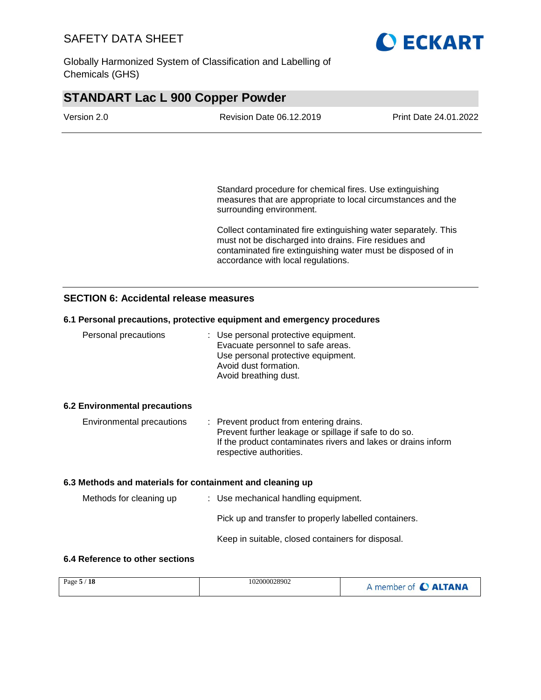

Globally Harmonized System of Classification and Labelling of Chemicals (GHS)

| <b>STANDART Lac L 900 Copper Powder</b> |                          |                       |  |
|-----------------------------------------|--------------------------|-----------------------|--|
| Version 2.0                             | Revision Date 06.12.2019 | Print Date 24.01.2022 |  |
|                                         |                          |                       |  |

Standard procedure for chemical fires. Use extinguishing measures that are appropriate to local circumstances and the surrounding environment.

Collect contaminated fire extinguishing water separately. This must not be discharged into drains. Fire residues and contaminated fire extinguishing water must be disposed of in accordance with local regulations.

#### **SECTION 6: Accidental release measures**

#### **6.1 Personal precautions, protective equipment and emergency procedures**

| Personal precautions                 | : Use personal protective equipment.<br>Evacuate personnel to safe areas.<br>Use personal protective equipment.<br>Avoid dust formation.<br>Avoid breathing dust. |
|--------------------------------------|-------------------------------------------------------------------------------------------------------------------------------------------------------------------|
| <b>6.2 Environmental precautions</b> |                                                                                                                                                                   |
| Environmental precautions            | : Prevent product from entering drains.<br>the contract of the contract of the contract of the contract of the contract of the contract of the contract of        |

| Elivilomnental precaduons | . Prevent product from entering drams.                        |
|---------------------------|---------------------------------------------------------------|
|                           | Prevent further leakage or spillage if safe to do so.         |
|                           | If the product contaminates rivers and lakes or drains inform |
|                           | respective authorities.                                       |

#### **6.3 Methods and materials for containment and cleaning up**

| Methods for cleaning up | : Use mechanical handling equipment. |                                                       |
|-------------------------|--------------------------------------|-------------------------------------------------------|
|                         |                                      | Pick up and transfer to properly labelled containers. |
|                         |                                      | Keep in suitable, closed containers for disposal.     |

#### **6.4 Reference to other sections**

| Page $5/18$ | 102000028902 | A member of C ALTANA |
|-------------|--------------|----------------------|
|             |              |                      |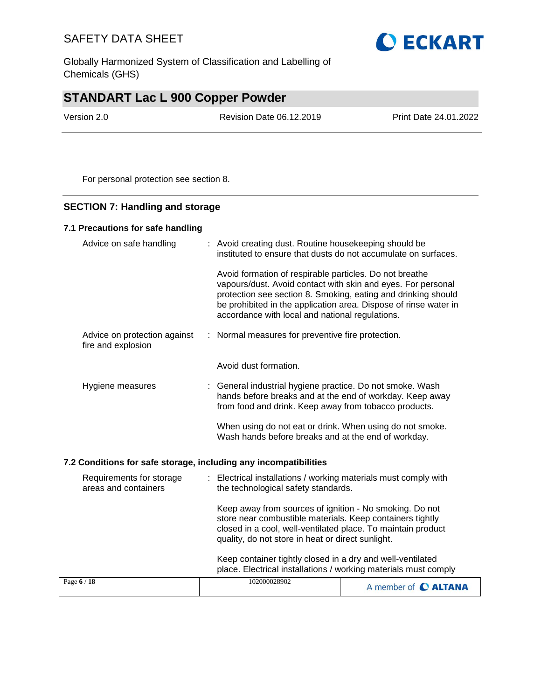Globally Harmonized System of Classification and Labelling of Chemicals (GHS)

## **STANDART Lac L 900 Copper Powder**

Version 2.0 Revision Date 06.12.2019 Print Date 24.01.2022

For personal protection see section 8.

#### **SECTION 7: Handling and storage**

#### **7.1 Precautions for safe handling**

| Advice on safe handling                            | : Avoid creating dust. Routine housekeeping should be<br>instituted to ensure that dusts do not accumulate on surfaces.                                                                                                                                                                                         |
|----------------------------------------------------|-----------------------------------------------------------------------------------------------------------------------------------------------------------------------------------------------------------------------------------------------------------------------------------------------------------------|
|                                                    | Avoid formation of respirable particles. Do not breathe<br>vapours/dust. Avoid contact with skin and eyes. For personal<br>protection see section 8. Smoking, eating and drinking should<br>be prohibited in the application area. Dispose of rinse water in<br>accordance with local and national regulations. |
| Advice on protection against<br>fire and explosion | : Normal measures for preventive fire protection.                                                                                                                                                                                                                                                               |
|                                                    | Avoid dust formation.                                                                                                                                                                                                                                                                                           |
| Hygiene measures                                   | : General industrial hygiene practice. Do not smoke. Wash<br>hands before breaks and at the end of workday. Keep away<br>from food and drink. Keep away from tobacco products.                                                                                                                                  |
|                                                    | When using do not eat or drink. When using do not smoke.<br>Wash hands before breaks and at the end of workday.                                                                                                                                                                                                 |

#### **7.2 Conditions for safe storage, including any incompatibilities**

| Requirements for storage<br>areas and containers | : Electrical installations / working materials must comply with<br>the technological safety standards.<br>Keep away from sources of ignition - No smoking. Do not<br>store near combustible materials. Keep containers tightly<br>closed in a cool, well-ventilated place. To maintain product<br>quality, do not store in heat or direct sunlight. |                      |  |
|--------------------------------------------------|-----------------------------------------------------------------------------------------------------------------------------------------------------------------------------------------------------------------------------------------------------------------------------------------------------------------------------------------------------|----------------------|--|
|                                                  |                                                                                                                                                                                                                                                                                                                                                     |                      |  |
|                                                  | Keep container tightly closed in a dry and well-ventilated<br>place. Electrical installations / working materials must comply                                                                                                                                                                                                                       |                      |  |
| Page 6 / 18                                      | 102000028902                                                                                                                                                                                                                                                                                                                                        | A member of C ALTANA |  |

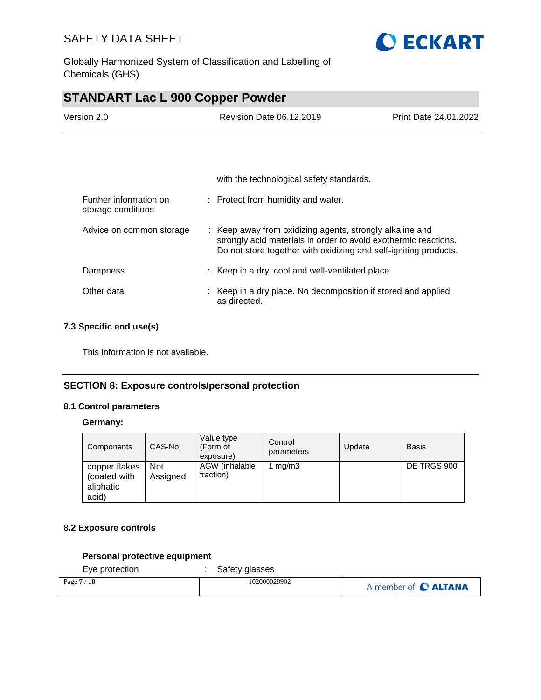

Globally Harmonized System of Classification and Labelling of Chemicals (GHS)

### **STANDART Lac L 900 Copper Powder**

| Version 2.0                                  | Revision Date 06.12.2019                                                                                                                                                                        | Print Date 24.01.2022 |
|----------------------------------------------|-------------------------------------------------------------------------------------------------------------------------------------------------------------------------------------------------|-----------------------|
|                                              |                                                                                                                                                                                                 |                       |
|                                              |                                                                                                                                                                                                 |                       |
|                                              | with the technological safety standards.                                                                                                                                                        |                       |
| Further information on<br>storage conditions | : Protect from humidity and water.                                                                                                                                                              |                       |
| Advice on common storage                     | : Keep away from oxidizing agents, strongly alkaline and<br>strongly acid materials in order to avoid exothermic reactions.<br>Do not store together with oxidizing and self-igniting products. |                       |

| Dampness   | : Keep in a dry, cool and well-ventilated place.                              |
|------------|-------------------------------------------------------------------------------|
| Other data | : Keep in a dry place. No decomposition if stored and applied<br>as directed. |

#### **7.3 Specific end use(s)**

This information is not available.

#### **SECTION 8: Exposure controls/personal protection**

#### **8.1 Control parameters**

#### **Germany:**

| Components                                          | CAS-No.                | Value type<br>(Form of<br>exposure) | Control<br>parameters | Update | <b>Basis</b> |
|-----------------------------------------------------|------------------------|-------------------------------------|-----------------------|--------|--------------|
| copper flakes<br>(coated with<br>aliphatic<br>acid) | <b>Not</b><br>Assigned | AGW (inhalable<br>fraction)         | mq/m3                 |        | DE TRGS 900  |

#### **8.2 Exposure controls**

#### **Personal protective equipment**

Eye protection : Safety glasses

| Page $7/$<br>′ 18 | 102000028902 | A member of C ALTANA |
|-------------------|--------------|----------------------|
|                   |              |                      |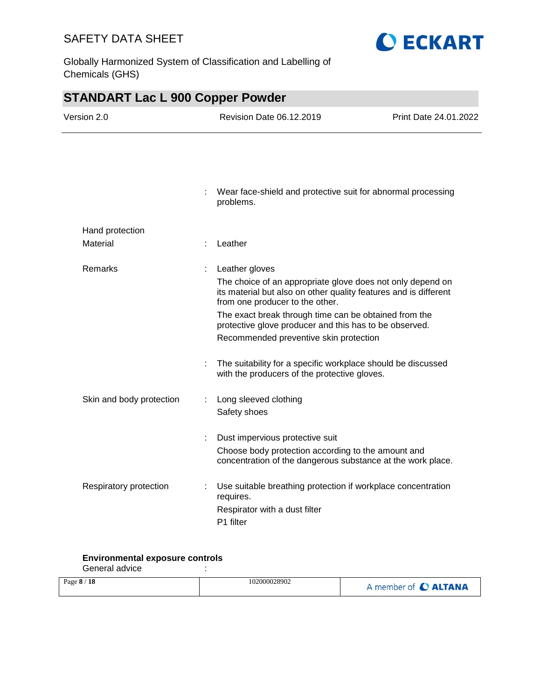Globally Harmonized System of Classification and Labelling of Chemicals (GHS)



**O ECKART** 

#### **Environmental exposure controls**

General advice in the set of the set of the set of the set of the set of the set of the set of the set of the s

| Page 8 / 18 | 102000028902 | A member of C ALTANA |
|-------------|--------------|----------------------|
|             |              |                      |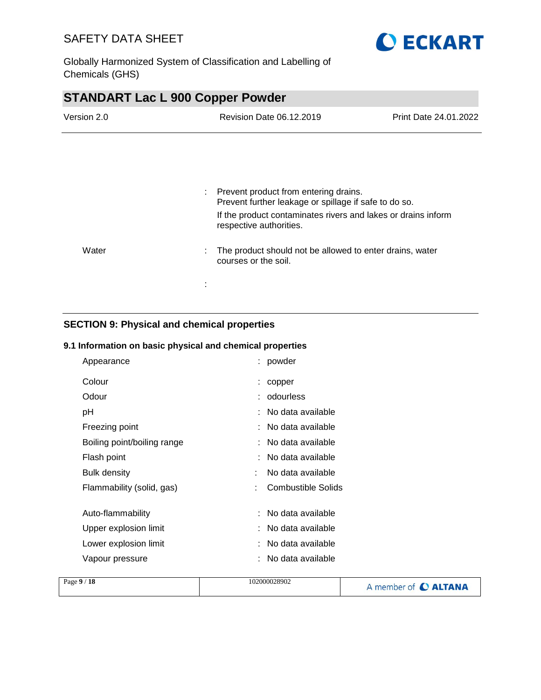

Globally Harmonized System of Classification and Labelling of Chemicals (GHS)

| <b>STANDART Lac L 900 Copper Powder</b> |                                                                                                                               |                       |  |  |
|-----------------------------------------|-------------------------------------------------------------------------------------------------------------------------------|-----------------------|--|--|
| Version 2.0                             | Revision Date 06.12.2019                                                                                                      | Print Date 24.01.2022 |  |  |
|                                         |                                                                                                                               |                       |  |  |
|                                         |                                                                                                                               |                       |  |  |
|                                         | Prevent product from entering drains.<br>$\mathcal{L}^{\mathcal{L}}$<br>Prevent further leakage or spillage if safe to do so. |                       |  |  |
|                                         | If the product contaminates rivers and lakes or drains inform<br>respective authorities.                                      |                       |  |  |
| Water                                   | The product should not be allowed to enter drains, water<br>courses or the soil.                                              |                       |  |  |
|                                         |                                                                                                                               |                       |  |  |

### **SECTION 9: Physical and chemical properties**

#### **9.1 Information on basic physical and chemical properties**

| Appearance                  |   | : powder                  |
|-----------------------------|---|---------------------------|
| Colour                      |   | copper                    |
| Odour                       |   | odourless                 |
| рH                          |   | : No data available       |
| Freezing point              |   | : No data available       |
| Boiling point/boiling range |   | : No data available       |
| Flash point                 |   | No data available         |
| Bulk density                |   | No data available         |
| Flammability (solid, gas)   | t | <b>Combustible Solids</b> |
| Auto-flammability           |   | No data available         |
| Upper explosion limit       |   | No data available         |
| Lower explosion limit       |   | No data available         |
| Vapour pressure             |   | No data available         |

| Page 9 / 18 | 102000028902 | A member of C ALTANA |
|-------------|--------------|----------------------|
|             |              |                      |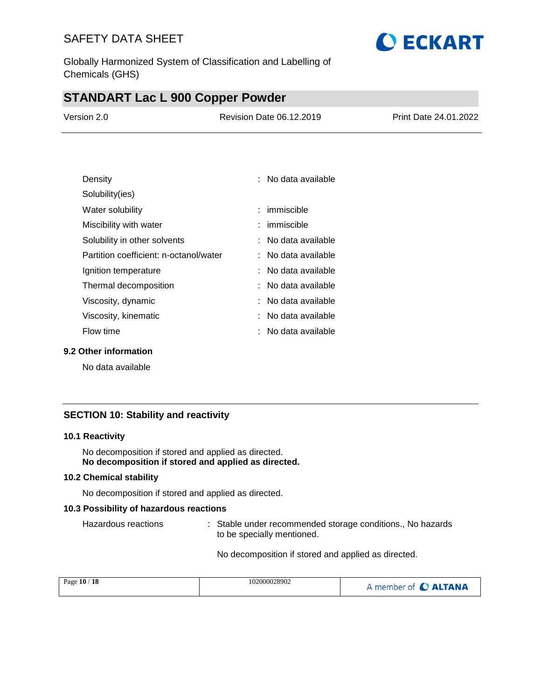Globally Harmonized System of Classification and Labelling of Chemicals (GHS)

### **STANDART Lac L 900 Copper Powder**

| Version 2.0 | Revision Date 06.12.2019 | <b>Print Date 24.01.2022</b> |
|-------------|--------------------------|------------------------------|
|             |                          |                              |

**O ECKART** 

| Density                                | : No data available   |
|----------------------------------------|-----------------------|
| Solubility(ies)                        |                       |
| Water solubility                       | : immiscible          |
| Miscibility with water                 | : immiscible          |
| Solubility in other solvents           | : No data available   |
| Partition coefficient: n-octanol/water | ∶   No data available |
| Ignition temperature                   | : No data available   |
| Thermal decomposition                  | ∶   No data available |
| Viscosity, dynamic                     | ∶   No data available |
| Viscosity, kinematic                   | : No data available   |
| Flow time                              | No data available     |

#### **9.2 Other information**

No data available

#### **SECTION 10: Stability and reactivity**

#### **10.1 Reactivity**

No decomposition if stored and applied as directed. **No decomposition if stored and applied as directed.**

#### **10.2 Chemical stability**

No decomposition if stored and applied as directed.

#### **10.3 Possibility of hazardous reactions**

Hazardous reactions : Stable under recommended storage conditions., No hazards to be specially mentioned.

No decomposition if stored and applied as directed.

| Page 10 / 18 | 102000028902 | A member of C ALTANA |
|--------------|--------------|----------------------|
|              |              |                      |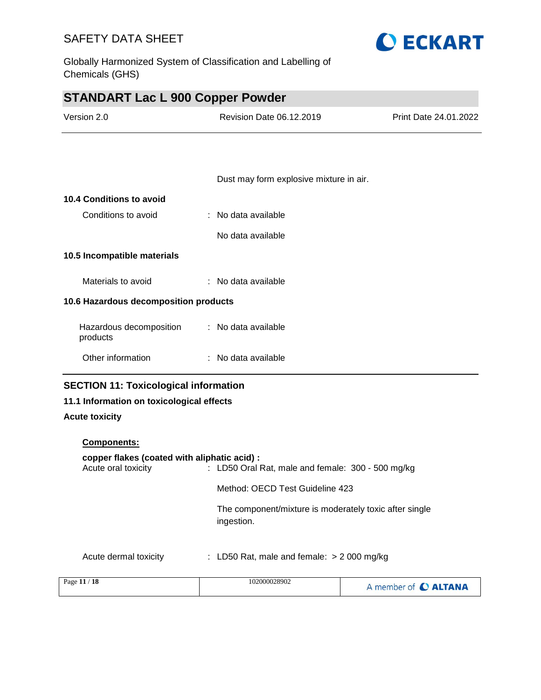Globally Harmonized System of Classification and Labelling of Chemicals (GHS)



| <b>STANDART Lac L 900 Copper Powder</b> |  |
|-----------------------------------------|--|
|-----------------------------------------|--|

| Version 2.0                           | Revision Date 06.12.2019                | Print Date 24.01.2022 |  |
|---------------------------------------|-----------------------------------------|-----------------------|--|
|                                       |                                         |                       |  |
|                                       | Dust may form explosive mixture in air. |                       |  |
| 10.4 Conditions to avoid              |                                         |                       |  |
| Conditions to avoid                   | : No data available                     |                       |  |
|                                       | No data available                       |                       |  |
| 10.5 Incompatible materials           |                                         |                       |  |
| Materials to avoid                    | : No data available                     |                       |  |
| 10.6 Hazardous decomposition products |                                         |                       |  |
| Hazardous decomposition<br>products   | : No data available                     |                       |  |
| Other information                     | : No data available                     |                       |  |
|                                       |                                         |                       |  |

### **SECTION 11: Toxicological information**

#### **11.1 Information on toxicological effects**

#### **Acute toxicity**

### **Components: copper flakes (coated with aliphatic acid) :**

| Acute oral toxicity   | : LD50 Oral Rat, male and female: $300 - 500$ mg/kg                  |
|-----------------------|----------------------------------------------------------------------|
|                       | Method: OECD Test Guideline 423                                      |
|                       | The component/mixture is moderately toxic after single<br>ingestion. |
| Acute dermal toxicity | : LD50 Rat, male and female: $> 2000$ mg/kg                          |

| Page 11 / 18 | 102000028902 | A member of C ALTANA |
|--------------|--------------|----------------------|
|--------------|--------------|----------------------|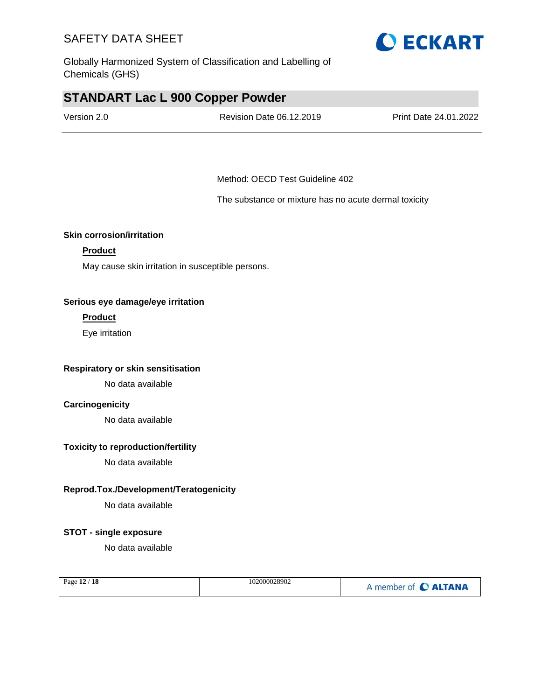Globally Harmonized System of Classification and Labelling of Chemicals (GHS)

### **STANDART Lac L 900 Copper Powder**

| Version 2.0 | <b>Revision Date 06.12.2019</b> | Print Date 24.01.2022 |
|-------------|---------------------------------|-----------------------|
|             |                                 |                       |

Method: OECD Test Guideline 402

The substance or mixture has no acute dermal toxicity

#### **Skin corrosion/irritation**

#### **Product**

May cause skin irritation in susceptible persons.

#### **Serious eye damage/eye irritation**

#### **Product**

Eye irritation

#### **Respiratory or skin sensitisation**

No data available

#### **Carcinogenicity**

No data available

#### **Toxicity to reproduction/fertility**

No data available

#### **Reprod.Tox./Development/Teratogenicity**

No data available

#### **STOT - single exposure**

No data available

| Page 12 / 18 | 102000028902 | A member of C ALTANA |
|--------------|--------------|----------------------|
|--------------|--------------|----------------------|

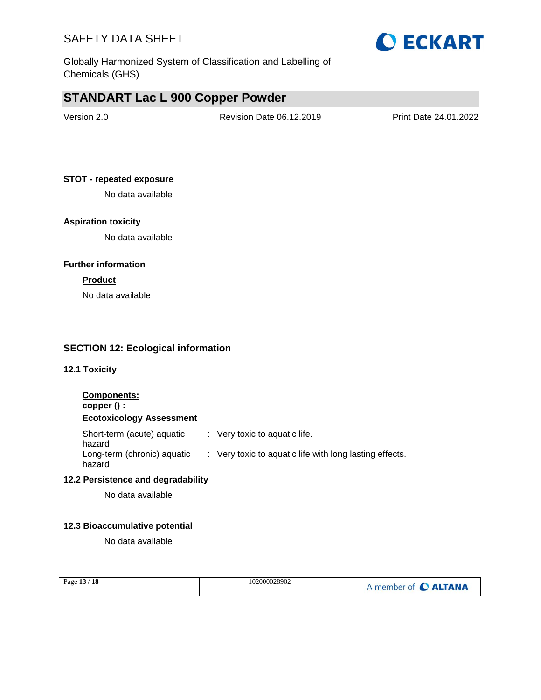Globally Harmonized System of Classification and Labelling of Chemicals (GHS)

### **STANDART Lac L 900 Copper Powder**

| Version 2.0 | Revision Date 06.12.2019 | Print Date 24.01.2022 |
|-------------|--------------------------|-----------------------|
|             |                          |                       |

**O ECKART** 

#### **STOT - repeated exposure**

No data available

#### **Aspiration toxicity**

No data available

#### **Further information**

#### **Product**

No data available

#### **SECTION 12: Ecological information**

**12.1 Toxicity**

#### **Components: copper () : Ecotoxicology Assessment** Short-term (acute) aquatic hazard : Very toxic to aquatic life. Long-term (chronic) aquatic hazard : Very toxic to aquatic life with long lasting effects. **12.2 Persistence and degradability**

No data available

#### **12.3 Bioaccumulative potential**

No data available

| Page 13 / 18 | 102000028902 | A member of C ALTANA |
|--------------|--------------|----------------------|
|              |              |                      |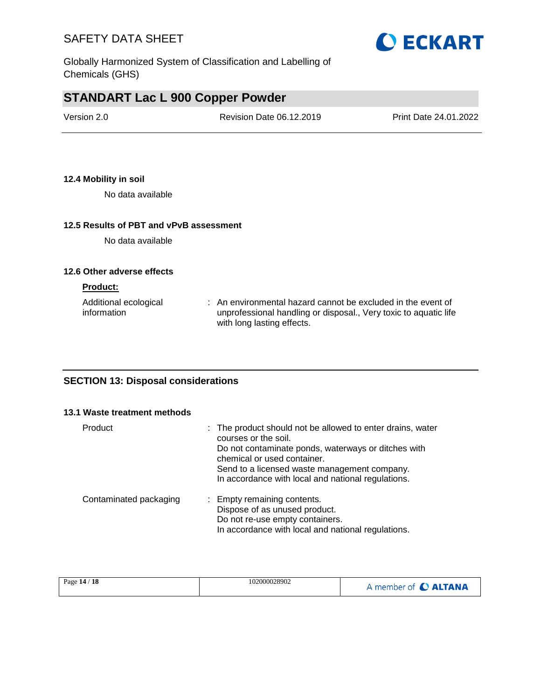

# **STANDART Lac L 900 Copper Powder**

| Version 2.0 | Revision Date 06.12.2019 | Print Date 24.01.2022 |
|-------------|--------------------------|-----------------------|
|             |                          |                       |

#### **12.4 Mobility in soil**

No data available

#### **12.5 Results of PBT and vPvB assessment**

No data available

#### **12.6 Other adverse effects**

#### **Product:**

| Additional ecological | : An environmental hazard cannot be excluded in the event of     |
|-----------------------|------------------------------------------------------------------|
| information           | unprofessional handling or disposal., Very toxic to aquatic life |
|                       | with long lasting effects.                                       |

#### **SECTION 13: Disposal considerations**

#### **13.1 Waste treatment methods**

| Product                | : The product should not be allowed to enter drains, water<br>courses or the soil.<br>Do not contaminate ponds, waterways or ditches with<br>chemical or used container.<br>Send to a licensed waste management company.<br>In accordance with local and national regulations. |
|------------------------|--------------------------------------------------------------------------------------------------------------------------------------------------------------------------------------------------------------------------------------------------------------------------------|
| Contaminated packaging | : Empty remaining contents.<br>Dispose of as unused product.<br>Do not re-use empty containers.<br>In accordance with local and national regulations.                                                                                                                          |

| 102000028902<br>Page 14 / 18 | A member of C ALTANA |
|------------------------------|----------------------|
|------------------------------|----------------------|

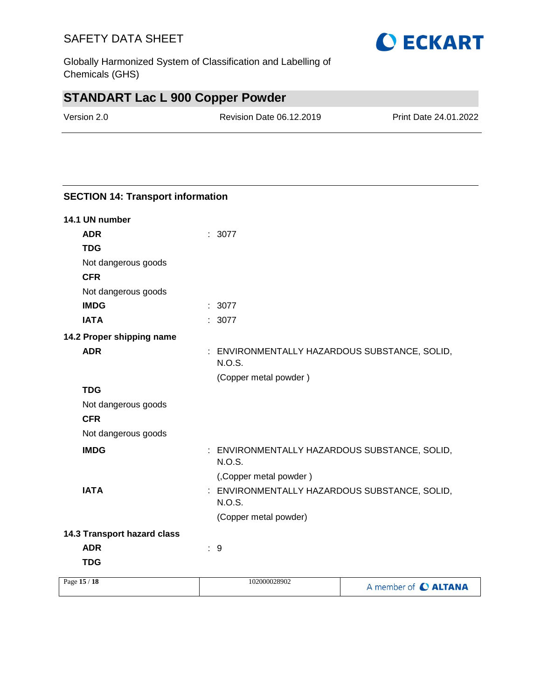Globally Harmonized System of Classification and Labelling of Chemicals (GHS)

# **STANDART Lac L 900 Copper Powder**

**SECTION 14: Transport information**

| Version 2.0 | Revision Date 06.12.2019 | Print Date 24.01.2022 |
|-------------|--------------------------|-----------------------|
|             |                          |                       |

| 14.1 UN number              |                                                                |                      |
|-----------------------------|----------------------------------------------------------------|----------------------|
| <b>ADR</b>                  | : 3077                                                         |                      |
| <b>TDG</b>                  |                                                                |                      |
| Not dangerous goods         |                                                                |                      |
| <b>CFR</b>                  |                                                                |                      |
| Not dangerous goods         |                                                                |                      |
| <b>IMDG</b>                 | : 3077                                                         |                      |
| <b>IATA</b>                 | : 3077                                                         |                      |
| 14.2 Proper shipping name   |                                                                |                      |
| <b>ADR</b>                  | : ENVIRONMENTALLY HAZARDOUS SUBSTANCE, SOLID,<br>N.O.S.        |                      |
|                             | (Copper metal powder)                                          |                      |
| <b>TDG</b>                  |                                                                |                      |
| Not dangerous goods         |                                                                |                      |
| <b>CFR</b>                  |                                                                |                      |
| Not dangerous goods         |                                                                |                      |
| <b>IMDG</b>                 | : ENVIRONMENTALLY HAZARDOUS SUBSTANCE, SOLID,<br><b>N.O.S.</b> |                      |
|                             | (,Copper metal powder)                                         |                      |
| <b>IATA</b>                 | : ENVIRONMENTALLY HAZARDOUS SUBSTANCE, SOLID,<br><b>N.O.S.</b> |                      |
|                             | (Copper metal powder)                                          |                      |
| 14.3 Transport hazard class |                                                                |                      |
| <b>ADR</b>                  | :9                                                             |                      |
| <b>TDG</b>                  |                                                                |                      |
| Page 15 / 18                | 102000028902                                                   | A member of C ALTANA |
|                             |                                                                |                      |

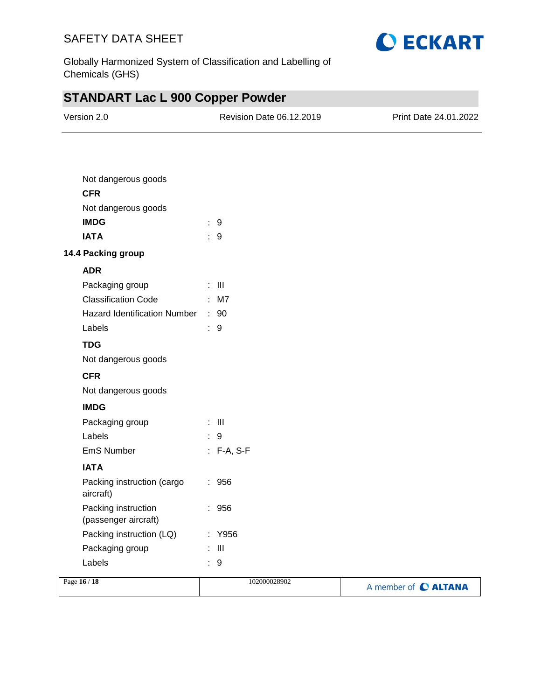

A member of C ALTANA

Globally Harmonized System of Classification and Labelling of Chemicals (GHS)

# **STANDART Lac L 900 Copper Powder**

| Version 2.0                                 | Revision Date 06.12.2019 | Print Date 24.01.2022 |
|---------------------------------------------|--------------------------|-----------------------|
|                                             |                          |                       |
| Not dangerous goods                         |                          |                       |
| <b>CFR</b>                                  |                          |                       |
| Not dangerous goods                         |                          |                       |
| <b>IMDG</b>                                 | $\therefore$ 9           |                       |
| <b>IATA</b>                                 | $\therefore$ 9           |                       |
| 14.4 Packing group                          |                          |                       |
| <b>ADR</b>                                  |                          |                       |
| Packaging group                             | $\pm$ III                |                       |
| <b>Classification Code</b><br>$\mathsf{M7}$ |                          |                       |
| Hazard Identification Number : 90           |                          |                       |
| Labels                                      | $\therefore$ 9           |                       |
| <b>TDG</b>                                  |                          |                       |
| Not dangerous goods                         |                          |                       |
| <b>CFR</b>                                  |                          |                       |
| Not dangerous goods                         |                          |                       |
| <b>IMDG</b>                                 |                          |                       |
| Packaging group                             | $\therefore$ III         |                       |
| Labels                                      | $\therefore$ 9           |                       |
| EmS Number                                  | $: F-A, S-F$             |                       |
| <b>IATA</b>                                 |                          |                       |
| Packing instruction (cargo<br>aircraft)     | $\therefore$ 956         |                       |
| Packing instruction<br>(passenger aircraft) | 956                      |                       |
| Packing instruction (LQ)                    | Y956                     |                       |
| Packaging group                             | $\mathbf{III}$           |                       |
| Labels                                      | 9                        |                       |
| Page 16 / 18                                | 102000028902             |                       |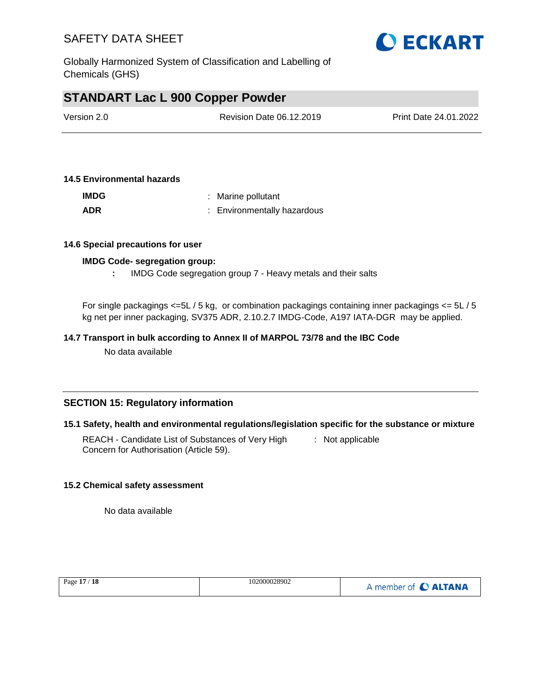

Globally Harmonized System of Classification and Labelling of Chemicals (GHS)

### **STANDART Lac L 900 Copper Powder**

| Version 2.0 | Revision Date 06.12.2019 | Print Date 24.01.2022 |
|-------------|--------------------------|-----------------------|
|             |                          |                       |

#### **14.5 Environmental hazards**

| <b>IMDG</b> | : Marine pollutant          |
|-------------|-----------------------------|
| <b>ADR</b>  | : Environmentally hazardous |

#### **14.6 Special precautions for user**

#### **IMDG Code- segregation group:**

**:** IMDG Code segregation group 7 - Heavy metals and their salts

For single packagings <=5L / 5 kg, or combination packagings containing inner packagings <= 5L / 5 kg net per inner packaging, SV375 ADR, 2.10.2.7 IMDG-Code, A197 IATA-DGR may be applied.

#### **14.7 Transport in bulk according to Annex II of MARPOL 73/78 and the IBC Code**

No data available

#### **SECTION 15: Regulatory information**

#### **15.1 Safety, health and environmental regulations/legislation specific for the substance or mixture**

REACH - Candidate List of Substances of Very High Concern for Authorisation (Article 59). : Not applicable

#### **15.2 Chemical safety assessment**

No data available

| Page 17 / 18 | 102000028902 | A member of C ALTANA |
|--------------|--------------|----------------------|
|              |              |                      |